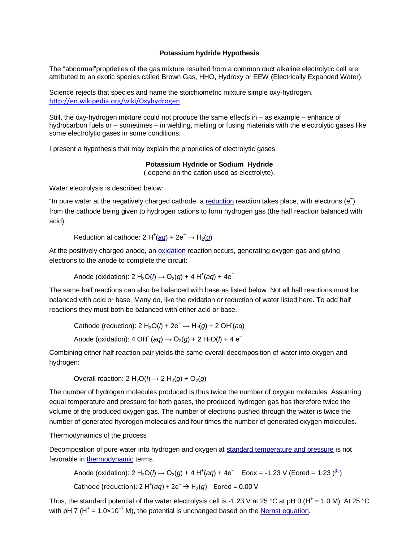## **Potassium hydride Hypothesis**

The "abnormal"proprieties of the gas mixture resulted from a common duct alkaline electrolytic cell are attributed to an exotic species called Brown Gas, HHO, Hydroxy or EEW (Electrically Expanded Water).

Science rejects that species and name the stoichiometric mixture simple oxy-hydrogen. <http://en.wikipedia.org/wiki/Oxyhydrogen>

Still, the oxy-hydrogen mixture could not produce the same effects in – as example – enhance of hydrocarbon fuels or – sometimes – in welding, melting or fusing materials with the electrolytic gases like some electrolytic gases in some conditions.

I present a hypothesis that may explain the proprieties of electrolytic gases.

## **Potassium Hydride or Sodium Hydride**

( depend on the cation used as electrolyte).

Water electrolysis is described below:

"In pure water at the negatively charged cathode, a [reduction](http://en.wikipedia.org/wiki/Redox) reaction takes place, with electrons (e ) from the cathode being given to hydrogen cations to form hydrogen gas (the half reaction balanced with acid):

Reduction at cathode:  $2 H^{+}(q\overline{q}) + 2e^{-} \rightarrow H_{2}(q)$  $2 H^{+}(q\overline{q}) + 2e^{-} \rightarrow H_{2}(q)$  $2 H^{+}(q\overline{q}) + 2e^{-} \rightarrow H_{2}(q)$ 

At the positively charged anode, an [oxidation](http://en.wikipedia.org/wiki/Redox) reaction occurs, generating oxygen gas and giving electrons to the anode to complete the circuit:

Anode [\(](http://en.wikipedia.org/wiki/Liquid)oxidation): 2 H<sub>2</sub>O( $\underline{l}$ ) → O<sub>2</sub>(g) + 4 H<sup>+</sup>(aq) + 4e<sup>-</sup>

The same half reactions can also be balanced with base as listed below. Not all half reactions must be balanced with acid or base. Many do, like the oxidation or reduction of water listed here. To add half reactions they must both be balanced with either acid or base.

Cathode (reduction):  $2 H_2O(l) + 2e^- \rightarrow H_2(g) + 2 O/H (aq)$ 

Anode (oxidation): 4 OH<sup>-</sup> (aq)  $\rightarrow$  O<sub>2</sub>(g) + 2 H<sub>2</sub>O( $\theta$ ) + 4 e<sup>-</sup>

Combining either half reaction pair yields the same overall decomposition of water into oxygen and hydrogen:

Overall reaction:  $2 H_2O(l) \rightarrow 2 H_2(q) + O_2(q)$ 

The number of hydrogen molecules produced is thus twice the number of oxygen molecules. Assuming equal temperature and pressure for both gases, the produced hydrogen gas has therefore twice the volume of the produced oxygen gas. The number of electrons pushed through the water is twice the number of generated hydrogen molecules and four times the number of generated oxygen molecules.

#### Thermodynamics of the process

Decomposition of pure water into hydrogen and oxygen at [standard temperature and pressure](http://en.wikipedia.org/wiki/Standard_conditions_for_temperature_and_pressure) is not favorable in [thermodynamic](http://en.wikipedia.org/wiki/Thermochemistry) terms.

Anode (oxidation): 2 H<sub>2</sub>O( $\theta$  → O<sub>2</sub>(g) + 4 H<sup>+</sup>(aq) + 4e<sup>-</sup> Eoox = -1.23 V (Eored = 1.23 )<sup>[\[5\]](http://en.wikipedia.org/wiki/Electrolysis_of_water#cite_note-5)</sup>)

Cathode (reduction): 2 H<sup>+</sup>(aq) + 2e<sup>-</sup>  $\rightarrow$  H<sub>2</sub>(g) Eored = 0.00 V

Thus, the standard potential of the water electrolysis cell is -1.23 V at 25 °C at pH 0 (H<sup>+</sup> = 1.0 M). At 25 °C with pH 7 (H<sup>+</sup> = 1.0×10<sup>-7</sup> M), the potential is unchanged based on the <u>Nernst equation</u>.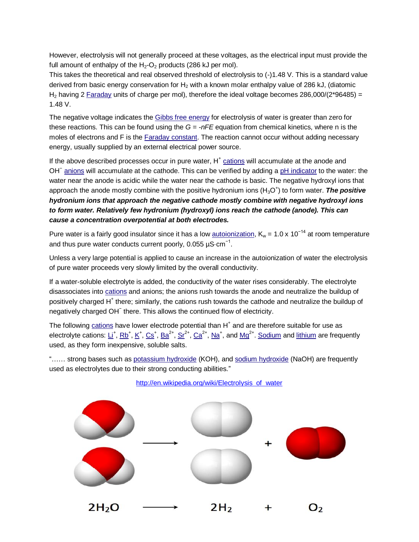However, electrolysis will not generally proceed at these voltages, as the electrical input must provide the full amount of enthalpy of the  $H_2$ -O<sub>2</sub> products (286 kJ per mol).

This takes the theoretical and real observed threshold of electrolysis to (-)1.48 V. This is a standard value derived from basic energy conservation for  $H_2$  with a known molar enthalpy value of 286 kJ, (diatomic H<sub>2</sub> having 2 [Faraday](http://en.wikipedia.org/wiki/Faraday_constant) units of charge per mol), therefore the ideal voltage becomes 286,000/(2\*96485) = 1.48 V.

The negative voltage indicates the [Gibbs free energy](http://en.wikipedia.org/wiki/Gibbs_free_energy) for electrolysis of water is greater than zero for these reactions. This can be found using the *G = -nFE* equation from chemical kinetics, where n is the moles of electrons and F is the [Faraday constant.](http://en.wikipedia.org/wiki/Faraday_constant) The reaction cannot occur without adding necessary energy, usually supplied by an external electrical power source.

If the above described processes occur in pure water, H<sup>+</sup> [cations](http://en.wikipedia.org/wiki/Cation) will accumulate at the anode and OH<sup>-</sup> [anions](http://en.wikipedia.org/wiki/Anion) will accumulate at the cathode. This can be verified by adding a [pH indicator](http://en.wikipedia.org/wiki/PH_indicator) to the water: the water near the anode is acidic while the water near the cathode is basic. The negative hydroxyl ions that approach the anode mostly combine with the positive hydronium ions (H<sub>3</sub>O<sup>+</sup>) to form water. The positive *hydronium ions that approach the negative cathode mostly combine with negative hydroxyl ions to form water. Relatively few hydronium (hydroxyl) ions reach the cathode (anode). This can cause a concentration overpotential at both electrodes.*

Pure water is a fairly good insulator since it has a low [autoionization,](http://en.wikipedia.org/wiki/Self-ionization_of_water)  $K_w = 1.0 \times 10^{-14}$  at room temperature and thus pure water conducts current poorly, 0.055 µS $\cdot$ cm<sup>-1</sup>.

Unless a very large potential is applied to cause an increase in the autoionization of water the electrolysis of pure water proceeds very slowly limited by the overall conductivity.

If a water-soluble electrolyte is added, the conductivity of the water rises considerably. The electrolyte disassociates into [cations](http://en.wikipedia.org/wiki/Cation) and anions; the anions rush towards the anode and neutralize the buildup of positively charged H<sup>+</sup> there; similarly, the cations rush towards the cathode and neutralize the buildup of negatively charged OH<sup>−</sup> there. This allows the continued flow of electricity.

The following [cations](http://en.wikipedia.org/wiki/Cations) have lower electrode potential than H<sup>+</sup> and are therefore suitable for use as electrolyte cations: [Li](http://en.wikipedia.org/wiki/Lithium)<sup>+</sup>, [Rb](http://en.wikipedia.org/wiki/Rubidium)<sup>+</sup>, [K](http://en.wikipedia.org/wiki/Potassium)<sup>+</sup>, [Cs](http://en.wikipedia.org/wiki/Caesium)<sup>+</sup>, [Ba](http://en.wikipedia.org/wiki/Barium)<sup>2+</sup>, [Sr](http://en.wikipedia.org/wiki/Strontium)<sup>2+</sup>, [Ca](http://en.wikipedia.org/wiki/Calcium)<sup>2+</sup>, [Na](http://en.wikipedia.org/wiki/Sodium)<sup>+</sup>, and [Mg](http://en.wikipedia.org/wiki/Magnesium)<sup>2+</sup>. [Sodium](http://en.wikipedia.org/wiki/Sodium) and [lithium](http://en.wikipedia.org/wiki/Lithium) are frequently used, as they form inexpensive, soluble salts.

"…… strong bases such as [potassium hydroxide](http://en.wikipedia.org/wiki/Potassium_hydroxide) (KOH), and [sodium hydroxide](http://en.wikipedia.org/wiki/Sodium_hydroxide) (NaOH) are frequently used as electrolytes due to their strong conducting abilities."

[http://en.wikipedia.org/wiki/Electrolysis\\_of\\_water](http://en.wikipedia.org/wiki/Electrolysis_of_water)

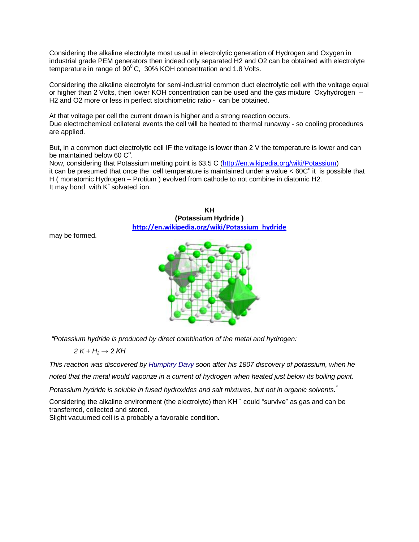Considering the alkaline electrolyte most usual in electrolytic generation of Hydrogen and Oxygen in industrial grade PEM generators then indeed only separated H2 and O2 can be obtained with electrolyte temperature in range of  $90^{\circ}$ C, 30% KOH concentration and 1.8 Volts.

Considering the alkaline electrolyte for semi-industrial common duct electrolytic cell with the voltage equal or higher than 2 Volts, then lower KOH concentration can be used and the gas mixture Oxyhydrogen – H2 and O2 more or less in perfect stoichiometric ratio - can be obtained.

At that voltage per cell the current drawn is higher and a strong reaction occurs. Due electrochemical collateral events the cell will be heated to thermal runaway - so cooling procedures are applied.

But, in a common duct electrolytic cell IF the voltage is lower than 2 V the temperature is lower and can be maintained below 60  $C^{\circ}$ .

Now, considering that Potassium melting point is 63.5 C [\(http://en.wikipedia.org/wiki/Potassium\)](http://en.wikipedia.org/wiki/Potassium) it can be presumed that once the cell temperature is maintained under a value  $< 60C^{\circ}$  it is possible that H ( monatomic Hydrogen – Protium ) evolved from cathode to not combine in diatomic H2. It may bond with K<sup>+</sup> solvated ion.



may be formed.

*"Potassium hydride is produced by direct combination of the metal and hydrogen:*

*2 K + H<sup>2</sup> → 2 KH*

*This reaction was discovered by [Humphry Davy](http://en.wikipedia.org/wiki/Humphry_Davy) soon after his 1807 discovery of potassium, when he noted that the metal would vaporize in a current of hydrogen when heated just below its boiling point.*

*Potassium hydride is soluble in fused hydroxides and salt mixtures, but not in organic solvents."*

Considering the alkaline environment (the electrolyte) then KH could "survive" as gas and can be transferred, collected and stored.

Slight vacuumed cell is a probably a favorable condition.